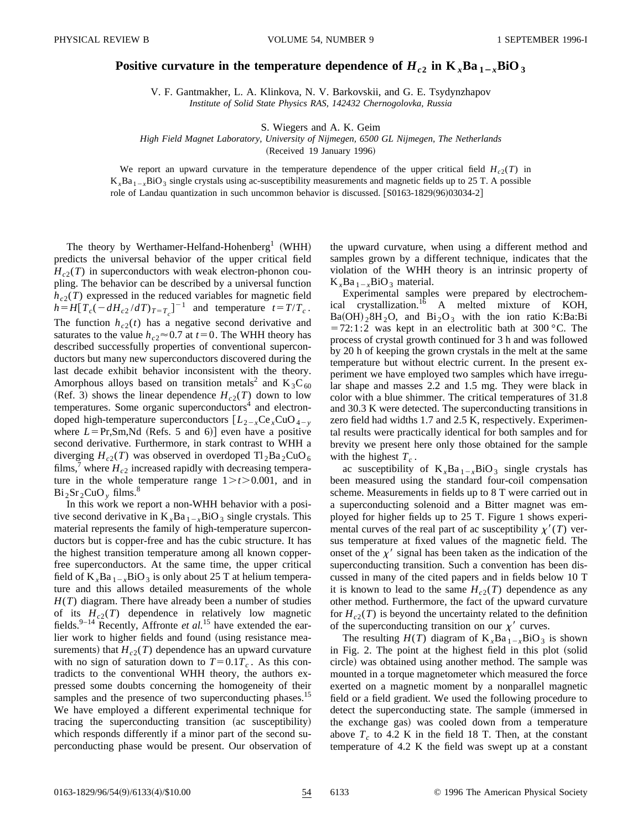## **Positive curvature in the temperature dependence of**  $H_{c2}$  **in**  $K_xBa_{1-x}BiO_3$

V. F. Gantmakher, L. A. Klinkova, N. V. Barkovskii, and G. E. Tsydynzhapov *Institute of Solid State Physics RAS, 142432 Chernogolovka, Russia*

S. Wiegers and A. K. Geim

*High Field Magnet Laboratory, University of Nijmegen, 6500 GL Nijmegen, The Netherlands*

(Received 19 January 1996)

We report an upward curvature in the temperature dependence of the upper critical field  $H_{c2}(T)$  in  $K<sub>x</sub>Ba<sub>1-x</sub>BiO<sub>3</sub>$  single crystals using ac-susceptibility measurements and magnetic fields up to 25 T. A possible role of Landau quantization in such uncommon behavior is discussed.  $\left[ S0163-1829(96)03034-2 \right]$ 

The theory by Werthamer-Helfand-Hohenberg<sup>1</sup> (WHH) predicts the universal behavior of the upper critical field  $H_{c2}(T)$  in superconductors with weak electron-phonon coupling. The behavior can be described by a universal function  $h_{c2}(T)$  expressed in the reduced variables for magnetic field  $h=H[T_c(-dH_{c2}/dT)_{T=T_c}]^{-1}$  and temperature  $t=T/T_c$ . The function  $h_{c2}(t)$  has a negative second derivative and saturates to the value  $h_{c2} \approx 0.7$  at  $t=0$ . The WHH theory has described successfully properties of conventional superconductors but many new superconductors discovered during the last decade exhibit behavior inconsistent with the theory. Amorphous alloys based on transition metals<sup>2</sup> and  $K_3C_{60}$ (Ref. 3) shows the linear dependence  $H_{c2}(T)$  down to low temperatures. Some organic superconductors<sup>4</sup> and electrondoped high-temperature superconductors  $[L_{2-x}Ce_xCuO_{4-y}$ where  $L = Pr, Sm, Nd$  (Refs. 5 and 6)] even have a positive second derivative. Furthermore, in stark contrast to WHH a diverging  $H_{c2}(T)$  was observed in overdoped  $Tl_2Ba_2CuO_6$ films,<sup> $\prime$ </sup> where  $H_{c2}$  increased rapidly with decreasing temperature in the whole temperature range  $1 \ge t \ge 0.001$ , and in  $Bi_2Sr_2CuO_v$  films.<sup>8</sup>

In this work we report a non-WHH behavior with a positive second derivative in  $K<sub>x</sub>Ba<sub>1-x</sub>BiO<sub>3</sub>$  single crystals. This material represents the family of high-temperature superconductors but is copper-free and has the cubic structure. It has the highest transition temperature among all known copperfree superconductors. At the same time, the upper critical field of  $K_{x}Ba_{1-x}BiO_{3}$  is only about 25 T at helium temperature and this allows detailed measurements of the whole *H*(*T*) diagram. There have already been a number of studies of its  $H_{c2}(T)$  dependence in relatively low magnetic fields.<sup>9–14</sup> Recently, Affronte *et al.*<sup>15</sup> have extended the earlier work to higher fields and found (using resistance measurements) that  $H_{c2}(T)$  dependence has an upward curvature with no sign of saturation down to  $T=0.1T_c$ . As this contradicts to the conventional WHH theory, the authors expressed some doubts concerning the homogeneity of their samples and the presence of two superconducting phases.<sup>15</sup> We have employed a different experimental technique for tracing the superconducting transition  $(ac$  susceptibility) which responds differently if a minor part of the second superconducting phase would be present. Our observation of the upward curvature, when using a different method and samples grown by a different technique, indicates that the violation of the WHH theory is an intrinsic property of  $K_xBa_{1-x}BiO_3$  material.

Experimental samples were prepared by electrochemical crystallization.<sup>16</sup> A melted mixture of KOH,  $Ba(OH)_{2}8H_{2}O$ , and  $Bi_{2}O_{3}$  with the ion ratio K:Ba:Bi  $=72:1:2$  was kept in an electrolitic bath at 300 °C. The process of crystal growth continued for 3 h and was followed by 20 h of keeping the grown crystals in the melt at the same temperature but without electric current. In the present experiment we have employed two samples which have irregular shape and masses 2.2 and 1.5 mg. They were black in color with a blue shimmer. The critical temperatures of 31.8 and 30.3 K were detected. The superconducting transitions in zero field had widths 1.7 and 2.5 K, respectively. Experimental results were practically identical for both samples and for brevity we present here only those obtained for the sample with the highest  $T_c$ .

ac susceptibility of  $K_{x}Ba_{1-x}BiO_{3}$  single crystals has been measured using the standard four-coil compensation scheme. Measurements in fields up to 8 T were carried out in a superconducting solenoid and a Bitter magnet was employed for higher fields up to 25 T. Figure 1 shows experimental curves of the real part of ac susceptibility  $\chi'(T)$  versus temperature at fixed values of the magnetic field. The onset of the  $\chi'$  signal has been taken as the indication of the superconducting transition. Such a convention has been discussed in many of the cited papers and in fields below 10 T it is known to lead to the same  $H_{c2}(T)$  dependence as any other method. Furthermore, the fact of the upward curvature for  $H_{c2}(T)$  is beyond the uncertainty related to the definition of the superconducting transition on our  $\chi'$  curves.

The resulting  $H(T)$  diagram of  $K_{x}Ba_{1-x}BiO_{3}$  is shown in Fig. 2. The point at the highest field in this plot  $\delta$  (solid circle) was obtained using another method. The sample was mounted in a torque magnetometer which measured the force exerted on a magnetic moment by a nonparallel magnetic field or a field gradient. We used the following procedure to detect the superconducting state. The sample (immersed in the exchange gas) was cooled down from a temperature above  $T_c$  to 4.2 K in the field 18 T. Then, at the constant temperature of 4.2 K the field was swept up at a constant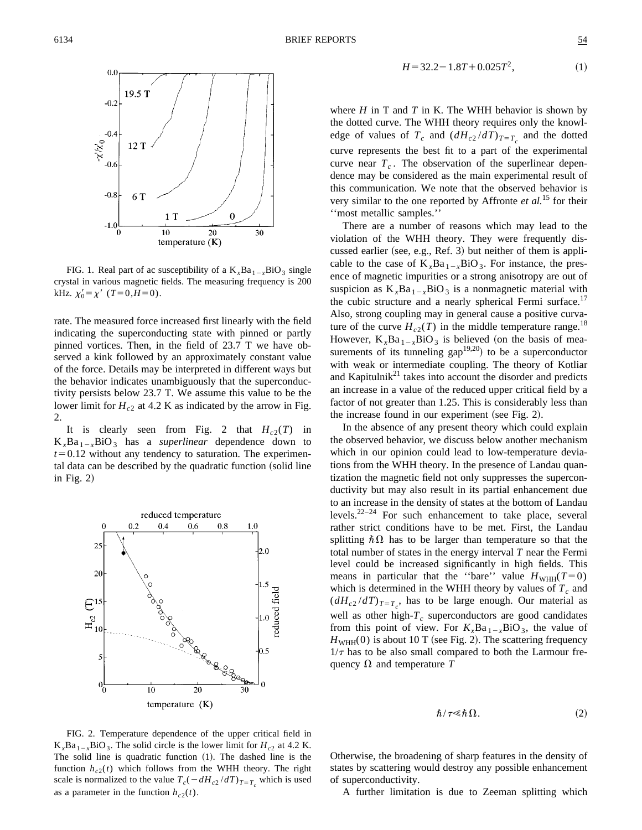

FIG. 1. Real part of ac susceptibility of a  $K_xBa_{1-x}BiO_3$  single crystal in various magnetic fields. The measuring frequency is 200 kHz.  $\chi'_0 = \chi'$  (*T*=0,*H*=0).

rate. The measured force increased first linearly with the field indicating the superconducting state with pinned or partly pinned vortices. Then, in the field of 23.7 T we have observed a kink followed by an approximately constant value of the force. Details may be interpreted in different ways but the behavior indicates unambiguously that the superconductivity persists below 23.7 T. We assume this value to be the lower limit for  $H_{c2}$  at 4.2 K as indicated by the arrow in Fig. 2.

It is clearly seen from Fig. 2 that  $H_{c2}(T)$  in  $K_{r}Ba_{1-r}BiO_3$  has a *superlinear* dependence down to  $t=0.12$  without any tendency to saturation. The experimental data can be described by the quadratic function (solid line in Fig.  $2$ )



$$
H = 32.2 - 1.8T + 0.025T^2, \tag{1}
$$

where  $H$  in  $T$  and  $T$  in  $K$ . The WHH behavior is shown by the dotted curve. The WHH theory requires only the knowledge of values of  $T_c$  and  $(dH_{c2}/dT)_{T=T_c}$  and the dotted curve represents the best fit to a part of the experimental curve near  $T_c$ . The observation of the superlinear dependence may be considered as the main experimental result of this communication. We note that the observed behavior is very similar to the one reported by Affronte *et al.*<sup>15</sup> for their ''most metallic samples.''

There are a number of reasons which may lead to the violation of the WHH theory. They were frequently discussed earlier (see, e.g., Ref. 3) but neither of them is applicable to the case of  $K_xBa_{1-x}BiO_3$ . For instance, the presence of magnetic impurities or a strong anisotropy are out of suspicion as  $K_{x}Ba_{1-x}BiO_{3}$  is a nonmagnetic material with the cubic structure and a nearly spherical Fermi surface.<sup>17</sup> Also, strong coupling may in general cause a positive curvature of the curve  $H_{c2}(T)$  in the middle temperature range.<sup>18</sup> However,  $K_xBa_{1-x}BiO_3$  is believed (on the basis of measurements of its tunneling gap<sup>19,20</sup> to be a superconductor with weak or intermediate coupling. The theory of Kotliar and Kapitulni $k^{21}$  takes into account the disorder and predicts an increase in a value of the reduced upper critical field by a factor of not greater than 1.25. This is considerably less than the increase found in our experiment (see Fig. 2).

In the absence of any present theory which could explain the observed behavior, we discuss below another mechanism which in our opinion could lead to low-temperature deviations from the WHH theory. In the presence of Landau quantization the magnetic field not only suppresses the superconductivity but may also result in its partial enhancement due to an increase in the density of states at the bottom of Landau levels.22–24 For such enhancement to take place, several rather strict conditions have to be met. First, the Landau splitting  $\hbar \Omega$  has to be larger than temperature so that the total number of states in the energy interval *T* near the Fermi level could be increased significantly in high fields. This means in particular that the "bare" value  $H_{WHH}(T=0)$ which is determined in the WHH theory by values of  $T_c$  and  $(dH_{c2}/dT)_{T=T_c}$ , has to be large enough. Our material as well as other high- $T_c$  superconductors are good candidates from this point of view. For  $K_xBa_{1-x}BiO_3$ , the value of  $H<sub>WHH</sub>(0)$  is about 10 T (see Fig. 2). The scattering frequency  $1/\tau$  has to be also small compared to both the Larmour frequency  $\Omega$  and temperature *T* 

$$
\hbar/\tau \ll \hbar \Omega. \tag{2}
$$

FIG. 2. Temperature dependence of the upper critical field in  $K_xBa_{1-x}BiO_3$ . The solid circle is the lower limit for  $H_{c2}$  at 4.2 K. The solid line is quadratic function  $(1)$ . The dashed line is the function  $h_{c2}(t)$  which follows from the WHH theory. The right scale is normalized to the value  $T_c(-dH_{c2}/dT)_{T=T_c}$  which is used as a parameter in the function  $h_{c2}(t)$ .

Otherwise, the broadening of sharp features in the density of states by scattering would destroy any possible enhancement of superconductivity.

A further limitation is due to Zeeman splitting which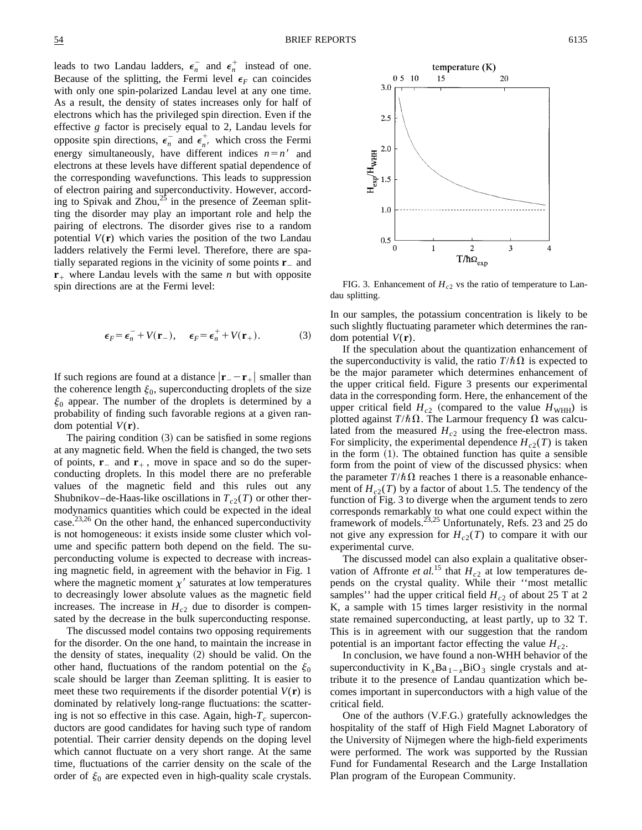leads to two Landau ladders,  $\epsilon_n^-$  and  $\epsilon_n^+$  instead of one. Because of the splitting, the Fermi level  $\epsilon_F$  can coincides with only one spin-polarized Landau level at any one time. As a result, the density of states increases only for half of electrons which has the privileged spin direction. Even if the effective *g* factor is precisely equal to 2, Landau levels for opposite spin directions,  $\epsilon_n^-$  and  $\epsilon_{n'}^+$  which cross the Fermi energy simultaneously, have different indices  $n=n'$  and electrons at these levels have different spatial dependence of the corresponding wavefunctions. This leads to suppression of electron pairing and superconductivity. However, according to Spivak and Zhou, $^{25}$  in the presence of Zeeman splitting the disorder may play an important role and help the pairing of electrons. The disorder gives rise to a random potential  $V(\mathbf{r})$  which varies the position of the two Landau ladders relatively the Fermi level. Therefore, there are spatially separated regions in the vicinity of some points  $\mathbf{r}_-$  and  **where Landau levels with the same** *n* **but with opposite** spin directions are at the Fermi level:

$$
\epsilon_F = \epsilon_n^- + V(\mathbf{r}_-), \quad \epsilon_F = \epsilon_n^+ + V(\mathbf{r}_+). \tag{3}
$$

If such regions are found at a distance  $|\mathbf{r}_{-} - \mathbf{r}_{+}|$  smaller than the coherence length  $\xi_0$ , superconducting droplets of the size  $\xi_0$  appear. The number of the droplets is determined by a probability of finding such favorable regions at a given random potential  $V(\mathbf{r})$ .

The pairing condition  $(3)$  can be satisfied in some regions at any magnetic field. When the field is changed, the two sets of points,  $\mathbf{r}_-$  and  $\mathbf{r}_+$ , move in space and so do the superconducting droplets. In this model there are no preferable values of the magnetic field and this rules out any Shubnikov–de-Haas-like oscillations in  $T_{c2}(T)$  or other thermodynamics quantities which could be expected in the ideal case. $^{23,26}$  On the other hand, the enhanced superconductivity is not homogeneous: it exists inside some cluster which volume and specific pattern both depend on the field. The superconducting volume is expected to decrease with increasing magnetic field, in agreement with the behavior in Fig. 1 where the magnetic moment  $\chi'$  saturates at low temperatures to decreasingly lower absolute values as the magnetic field increases. The increase in  $H_{c2}$  due to disorder is compensated by the decrease in the bulk superconducting response.

The discussed model contains two opposing requirements for the disorder. On the one hand, to maintain the increase in the density of states, inequality  $(2)$  should be valid. On the other hand, fluctuations of the random potential on the  $\xi_0$ scale should be larger than Zeeman splitting. It is easier to meet these two requirements if the disorder potential  $V(\mathbf{r})$  is dominated by relatively long-range fluctuations: the scattering is not so effective in this case. Again, high- $T_c$  superconductors are good candidates for having such type of random potential. Their carrier density depends on the doping level which cannot fluctuate on a very short range. At the same time, fluctuations of the carrier density on the scale of the order of  $\xi_0$  are expected even in high-quality scale crystals.



FIG. 3. Enhancement of  $H_{c2}$  vs the ratio of temperature to Landau splitting.

In our samples, the potassium concentration is likely to be such slightly fluctuating parameter which determines the random potential *V*(**r**).

If the speculation about the quantization enhancement of the superconductivity is valid, the ratio  $T/\hbar\Omega$  is expected to be the major parameter which determines enhancement of the upper critical field. Figure 3 presents our experimental data in the corresponding form. Here, the enhancement of the upper critical field  $H_{c2}$  (compared to the value  $H_{\text{WHH}}$ ) is plotted against  $T/\hbar\Omega$ . The Larmour frequency  $\Omega$  was calculated from the measured  $H_{c2}$  using the free-electron mass. For simplicity, the experimental dependence  $H_{c2}(T)$  is taken in the form  $(1)$ . The obtained function has quite a sensible form from the point of view of the discussed physics: when the parameter  $T/\hbar\Omega$  reaches 1 there is a reasonable enhancement of  $H_{c2}(T)$  by a factor of about 1.5. The tendency of the function of Fig. 3 to diverge when the argument tends to zero corresponds remarkably to what one could expect within the framework of models.<sup>23,25</sup> Unfortunately, Refs. 23 and 25 do not give any expression for  $H_{c2}(T)$  to compare it with our experimental curve.

The discussed model can also explain a qualitative observation of Affronte *et al.*<sup>15</sup> that  $H_{c2}$  at low temperatures depends on the crystal quality. While their ''most metallic samples'' had the upper critical field  $H_{c2}$  of about 25 T at 2 K, a sample with 15 times larger resistivity in the normal state remained superconducting, at least partly, up to 32 T. This is in agreement with our suggestion that the random potential is an important factor effecting the value  $H_{c2}$ .

In conclusion, we have found a non-WHH behavior of the superconductivity in  $K_xBa_{1-x}BiO_3$  single crystals and attribute it to the presence of Landau quantization which becomes important in superconductors with a high value of the critical field.

One of the authors  $(V.F.G.)$  gratefully acknowledges the hospitality of the staff of High Field Magnet Laboratory of the University of Nijmegen where the high-field experiments were performed. The work was supported by the Russian Fund for Fundamental Research and the Large Installation Plan program of the European Community.